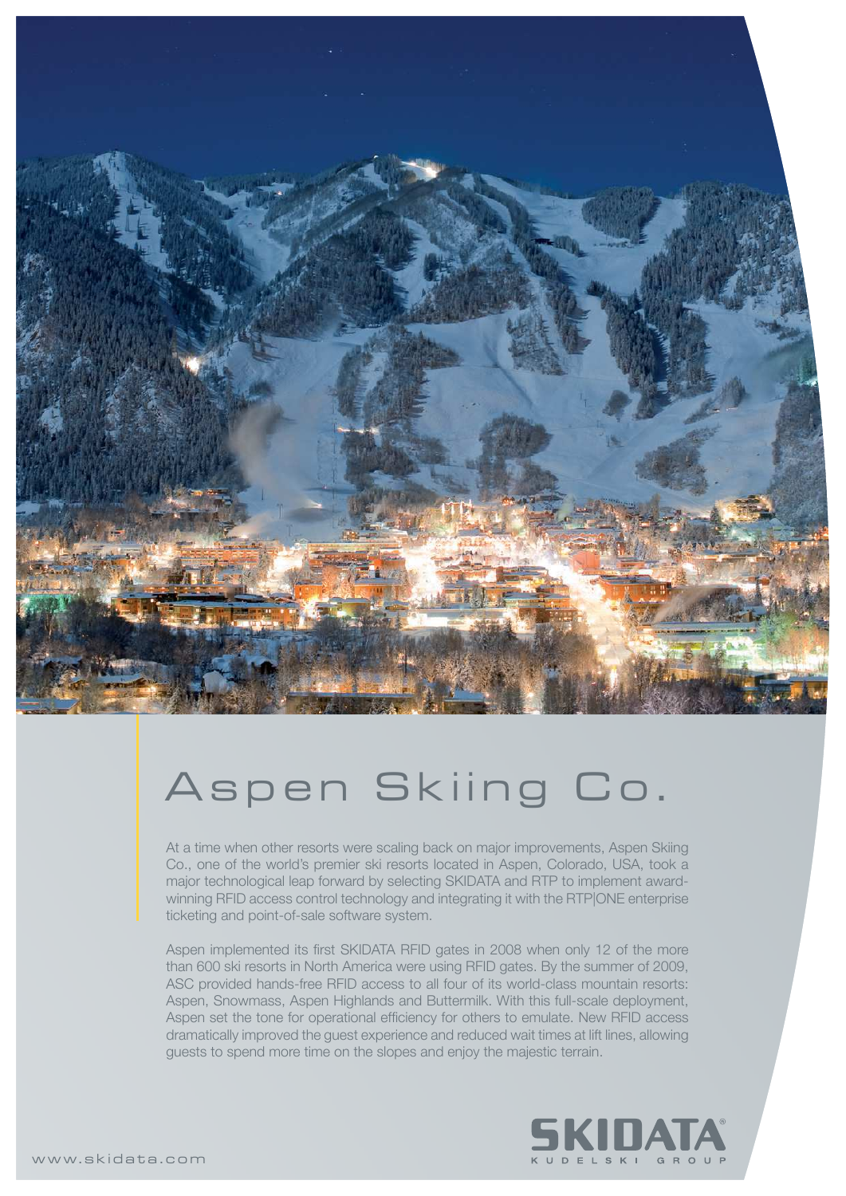

## Aspen Skiing Co.

At a time when other resorts were scaling back on major improvements, Aspen Skiing Co., one of the world's premier ski resorts located in Aspen, Colorado, USA, took a major technological leap forward by selecting SKIDATA and RTP to implement awardwinning RFID access control technology and integrating it with the RTP|ONE enterprise ticketing and point-of-sale software system.

Aspen implemented its first SKIDATA RFID gates in 2008 when only 12 of the more than 600 ski resorts in North America were using RFID gates. By the summer of 2009, ASC provided hands-free RFID access to all four of its world-class mountain resorts: Aspen, Snowmass, Aspen Highlands and Buttermilk. With this full-scale deployment, Aspen set the tone for operational efficiency for others to emulate. New RFID access dramatically improved the guest experience and reduced wait times at lift lines, allowing guests to spend more time on the slopes and enjoy the majestic terrain.